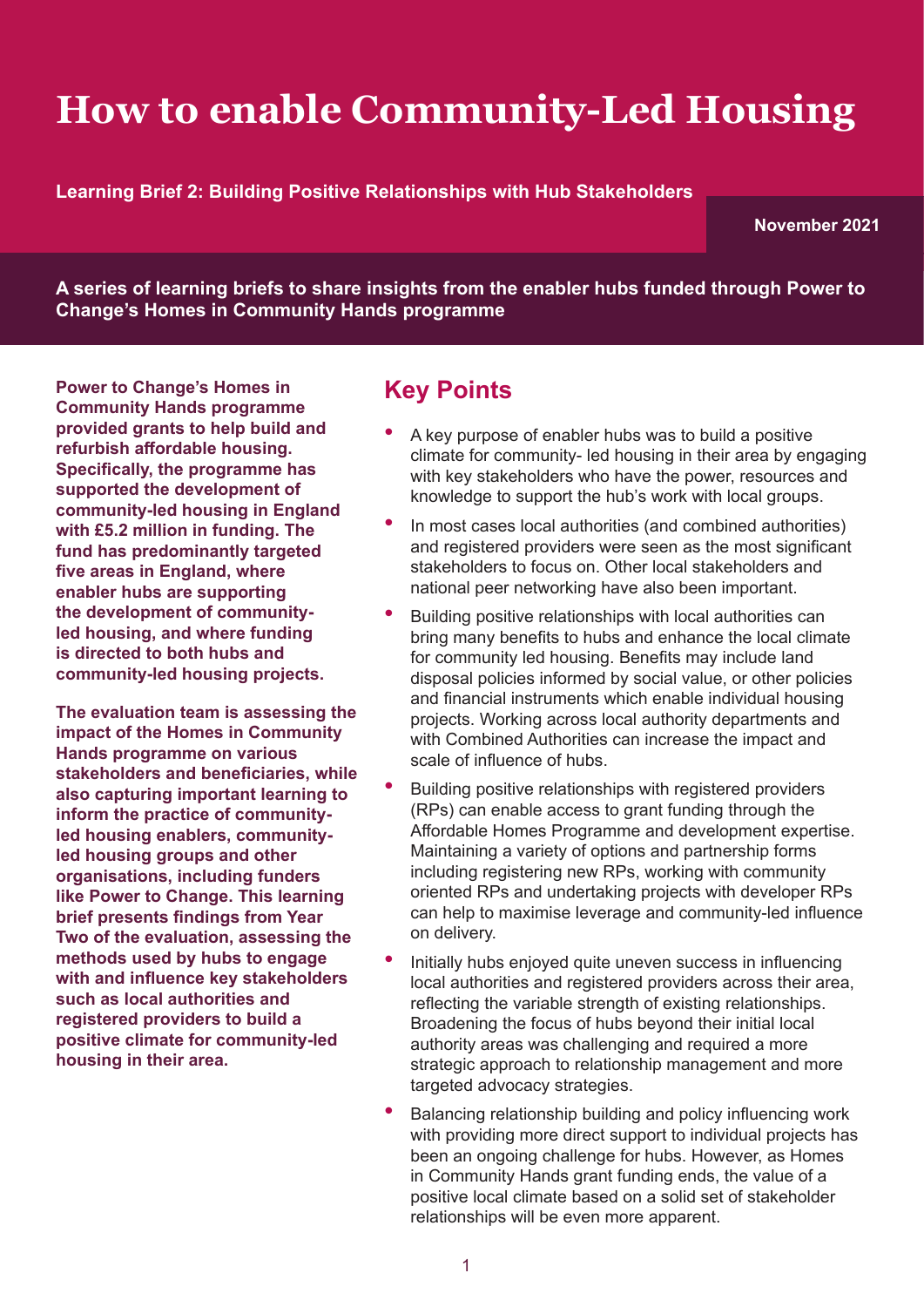# **How to enable Community-Led Housing**

**Learning Brief 2: Building Positive Relationships with Hub Stakeholders** 

**November 2021**

**A series of learning briefs to share insights from the enabler hubs funded through Power to Change's Homes in Community Hands programme**

**Power to Change's Homes in Community Hands programme provided grants to help build and refurbish affordable housing. Specifically, the programme has supported the development of community-led housing in England with £5.2 million in funding. The fund has predominantly targeted five areas in England, where enabler hubs are supporting the development of communityled housing, and where funding is directed to both hubs and community-led housing projects.** 

**The evaluation team is assessing the impact of the Homes in Community Hands programme on various stakeholders and beneficiaries, while also capturing important learning to inform the practice of communityled housing enablers, communityled housing groups and other organisations, including funders like Power to Change. This learning brief presents findings from Year Two of the evaluation, assessing the methods used by hubs to engage with and influence key stakeholders such as local authorities and registered providers to build a positive climate for community-led housing in their area.**

### **Key Points**

- A key purpose of enabler hubs was to build a positive climate for community- led housing in their area by engaging with key stakeholders who have the power, resources and knowledge to support the hub's work with local groups.
- In most cases local authorities (and combined authorities) and registered providers were seen as the most significant stakeholders to focus on. Other local stakeholders and national peer networking have also been important.
- Building positive relationships with local authorities can bring many benefits to hubs and enhance the local climate for community led housing. Benefits may include land disposal policies informed by social value, or other policies and financial instruments which enable individual housing projects. Working across local authority departments and with Combined Authorities can increase the impact and scale of influence of hubs.
- Building positive relationships with registered providers (RPs) can enable access to grant funding through the Affordable Homes Programme and development expertise. Maintaining a variety of options and partnership forms including registering new RPs, working with community oriented RPs and undertaking projects with developer RPs can help to maximise leverage and community-led influence on delivery.
- Initially hubs enjoyed quite uneven success in influencing local authorities and registered providers across their area, reflecting the variable strength of existing relationships. Broadening the focus of hubs beyond their initial local authority areas was challenging and required a more strategic approach to relationship management and more targeted advocacy strategies.
- Balancing relationship building and policy influencing work with providing more direct support to individual projects has been an ongoing challenge for hubs. However, as Homes in Community Hands grant funding ends, the value of a positive local climate based on a solid set of stakeholder relationships will be even more apparent.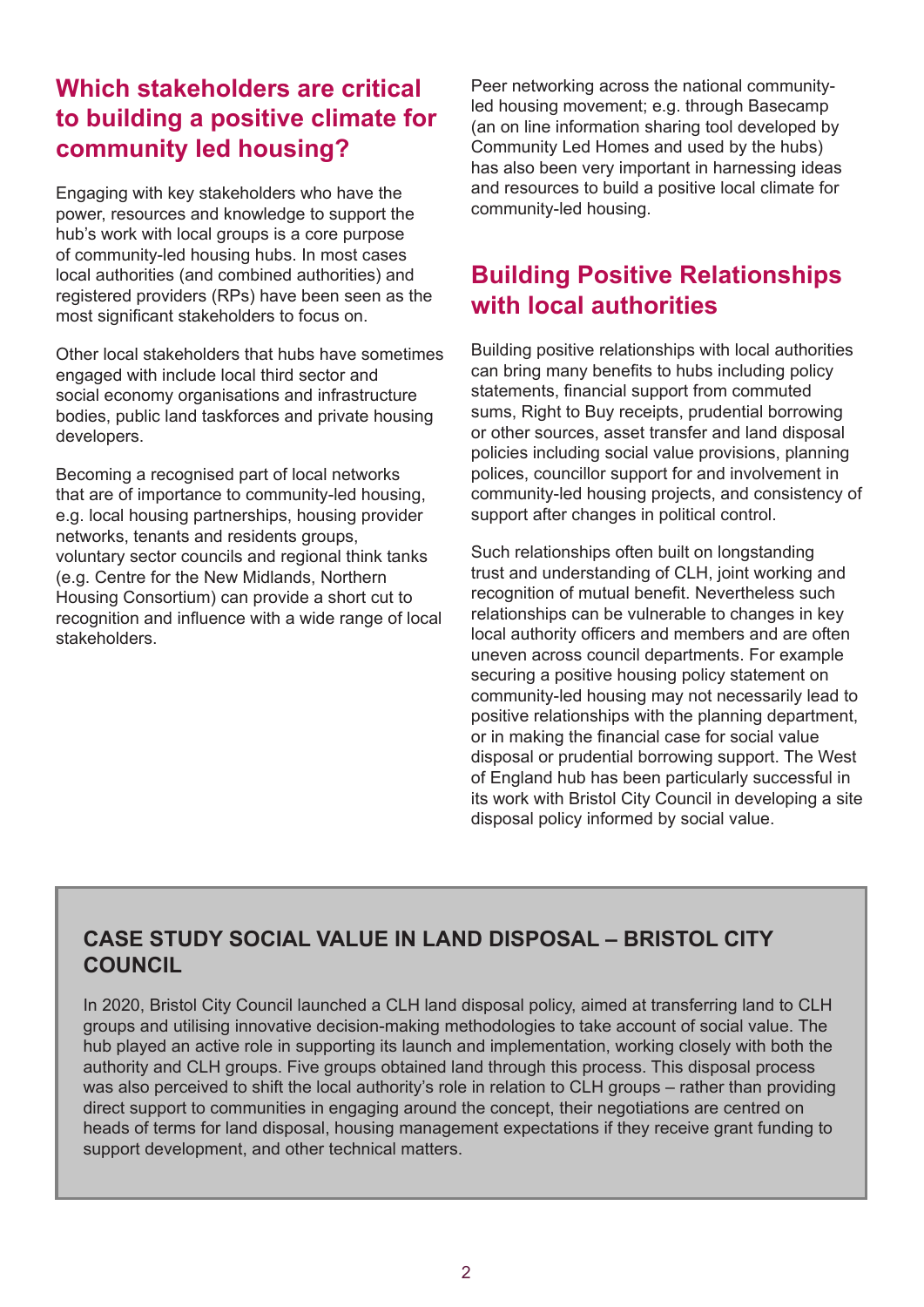### **Which stakeholders are critical to building a positive climate for community led housing?**

Engaging with key stakeholders who have the power, resources and knowledge to support the hub's work with local groups is a core purpose of community-led housing hubs. In most cases local authorities (and combined authorities) and registered providers (RPs) have been seen as the most significant stakeholders to focus on.

Other local stakeholders that hubs have sometimes engaged with include local third sector and social economy organisations and infrastructure bodies, public land taskforces and private housing developers.

Becoming a recognised part of local networks that are of importance to community-led housing, e.g. local housing partnerships, housing provider networks, tenants and residents groups, voluntary sector councils and regional think tanks (e.g. Centre for the New Midlands, Northern Housing Consortium) can provide a short cut to recognition and influence with a wide range of local stakeholders.

Peer networking across the national communityled housing movement; e.g. through Basecamp (an on line information sharing tool developed by Community Led Homes and used by the hubs) has also been very important in harnessing ideas and resources to build a positive local climate for community-led housing.

### **Building Positive Relationships with local authorities**

Building positive relationships with local authorities can bring many benefits to hubs including policy statements, financial support from commuted sums, Right to Buy receipts, prudential borrowing or other sources, asset transfer and land disposal policies including social value provisions, planning polices, councillor support for and involvement in community-led housing projects, and consistency of support after changes in political control.

Such relationships often built on longstanding trust and understanding of CLH, joint working and recognition of mutual benefit. Nevertheless such relationships can be vulnerable to changes in key local authority officers and members and are often uneven across council departments. For example securing a positive housing policy statement on community-led housing may not necessarily lead to positive relationships with the planning department, or in making the financial case for social value disposal or prudential borrowing support. The West of England hub has been particularly successful in its work with Bristol City Council in developing a site disposal policy informed by social value.

#### **CASE STUDY SOCIAL VALUE IN LAND DISPOSAL – BRISTOL CITY COUNCIL**

In 2020, Bristol City Council launched a CLH land disposal policy, aimed at transferring land to CLH groups and utilising innovative decision-making methodologies to take account of social value. The hub played an active role in supporting its launch and implementation, working closely with both the authority and CLH groups. Five groups obtained land through this process. This disposal process was also perceived to shift the local authority's role in relation to CLH groups – rather than providing direct support to communities in engaging around the concept, their negotiations are centred on heads of terms for land disposal, housing management expectations if they receive grant funding to support development, and other technical matters.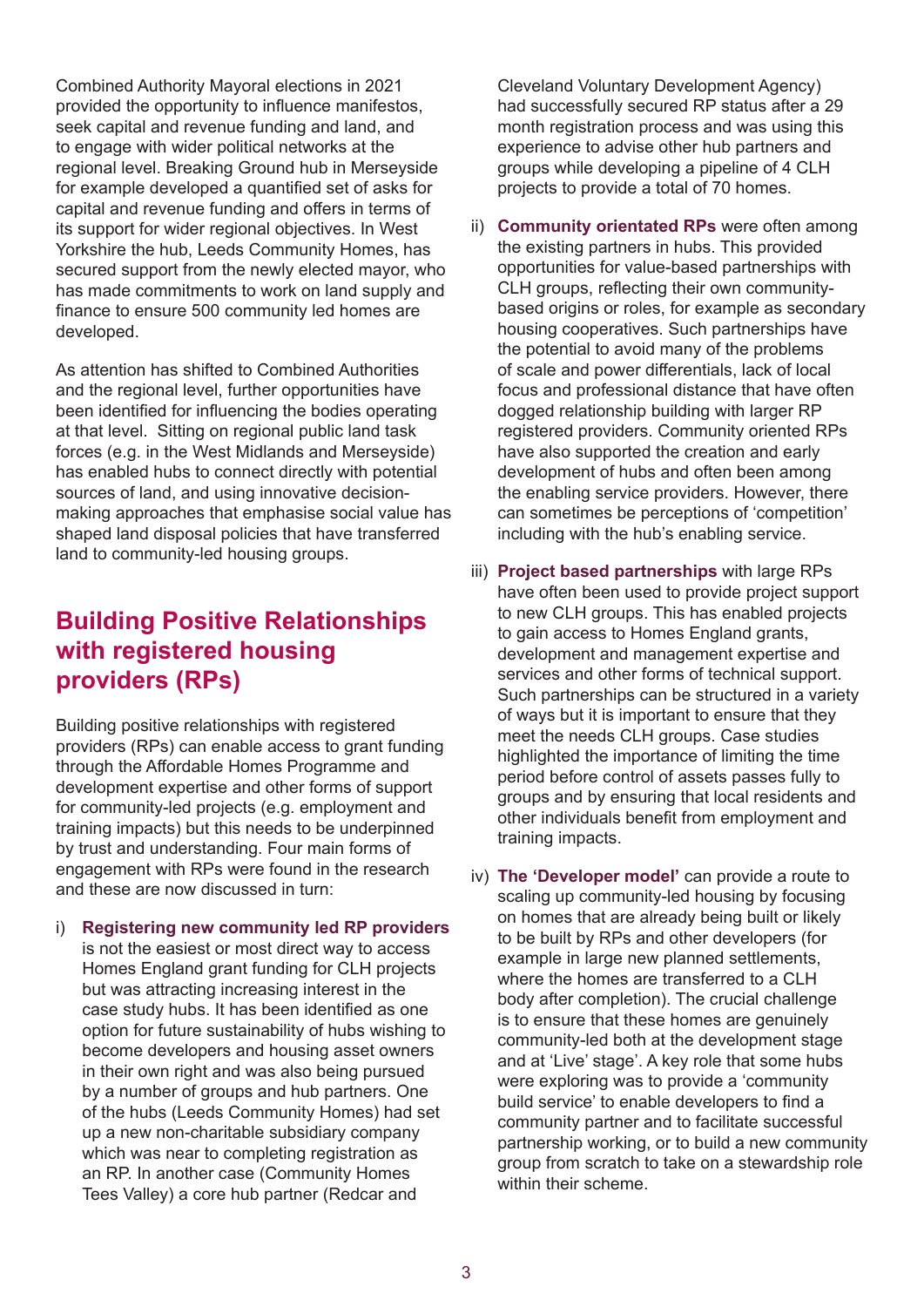Combined Authority Mayoral elections in 2021 provided the opportunity to influence manifestos, seek capital and revenue funding and land, and to engage with wider political networks at the regional level. Breaking Ground hub in Merseyside for example developed a quantified set of asks for capital and revenue funding and offers in terms of its support for wider regional objectives. In West Yorkshire the hub, Leeds Community Homes, has secured support from the newly elected mayor, who has made commitments to work on land supply and finance to ensure 500 community led homes are developed.

As attention has shifted to Combined Authorities and the regional level, further opportunities have been identified for influencing the bodies operating at that level. Sitting on regional public land task forces (e.g. in the West Midlands and Merseyside) has enabled hubs to connect directly with potential sources of land, and using innovative decisionmaking approaches that emphasise social value has shaped land disposal policies that have transferred land to community-led housing groups.

#### **Building Positive Relationships with registered housing providers (RPs)**

Building positive relationships with registered providers (RPs) can enable access to grant funding through the Affordable Homes Programme and development expertise and other forms of support for community-led projects (e.g. employment and training impacts) but this needs to be underpinned by trust and understanding. Four main forms of engagement with RPs were found in the research and these are now discussed in turn:

i) **Registering new community led RP providers**  is not the easiest or most direct way to access Homes England grant funding for CLH projects but was attracting increasing interest in the case study hubs. It has been identified as one option for future sustainability of hubs wishing to become developers and housing asset owners in their own right and was also being pursued by a number of groups and hub partners. One of the hubs (Leeds Community Homes) had set up a new non-charitable subsidiary company which was near to completing registration as an RP. In another case (Community Homes Tees Valley) a core hub partner (Redcar and

Cleveland Voluntary Development Agency) had successfully secured RP status after a 29 month registration process and was using this experience to advise other hub partners and groups while developing a pipeline of 4 CLH projects to provide a total of 70 homes.

- ii) **Community orientated RPs** were often among the existing partners in hubs. This provided opportunities for value-based partnerships with CLH groups, reflecting their own communitybased origins or roles, for example as secondary housing cooperatives. Such partnerships have the potential to avoid many of the problems of scale and power differentials, lack of local focus and professional distance that have often dogged relationship building with larger RP registered providers. Community oriented RPs have also supported the creation and early development of hubs and often been among the enabling service providers. However, there can sometimes be perceptions of 'competition' including with the hub's enabling service.
- iii) **Project based partnerships** with large RPs have often been used to provide project support to new CLH groups. This has enabled projects to gain access to Homes England grants, development and management expertise and services and other forms of technical support. Such partnerships can be structured in a variety of ways but it is important to ensure that they meet the needs CLH groups. Case studies highlighted the importance of limiting the time period before control of assets passes fully to groups and by ensuring that local residents and other individuals benefit from employment and training impacts.
- iv) **The 'Developer model'** can provide a route to scaling up community-led housing by focusing on homes that are already being built or likely to be built by RPs and other developers (for example in large new planned settlements, where the homes are transferred to a CLH body after completion). The crucial challenge is to ensure that these homes are genuinely community-led both at the development stage and at 'Live' stage'. A key role that some hubs were exploring was to provide a 'community build service' to enable developers to find a community partner and to facilitate successful partnership working, or to build a new community group from scratch to take on a stewardship role within their scheme.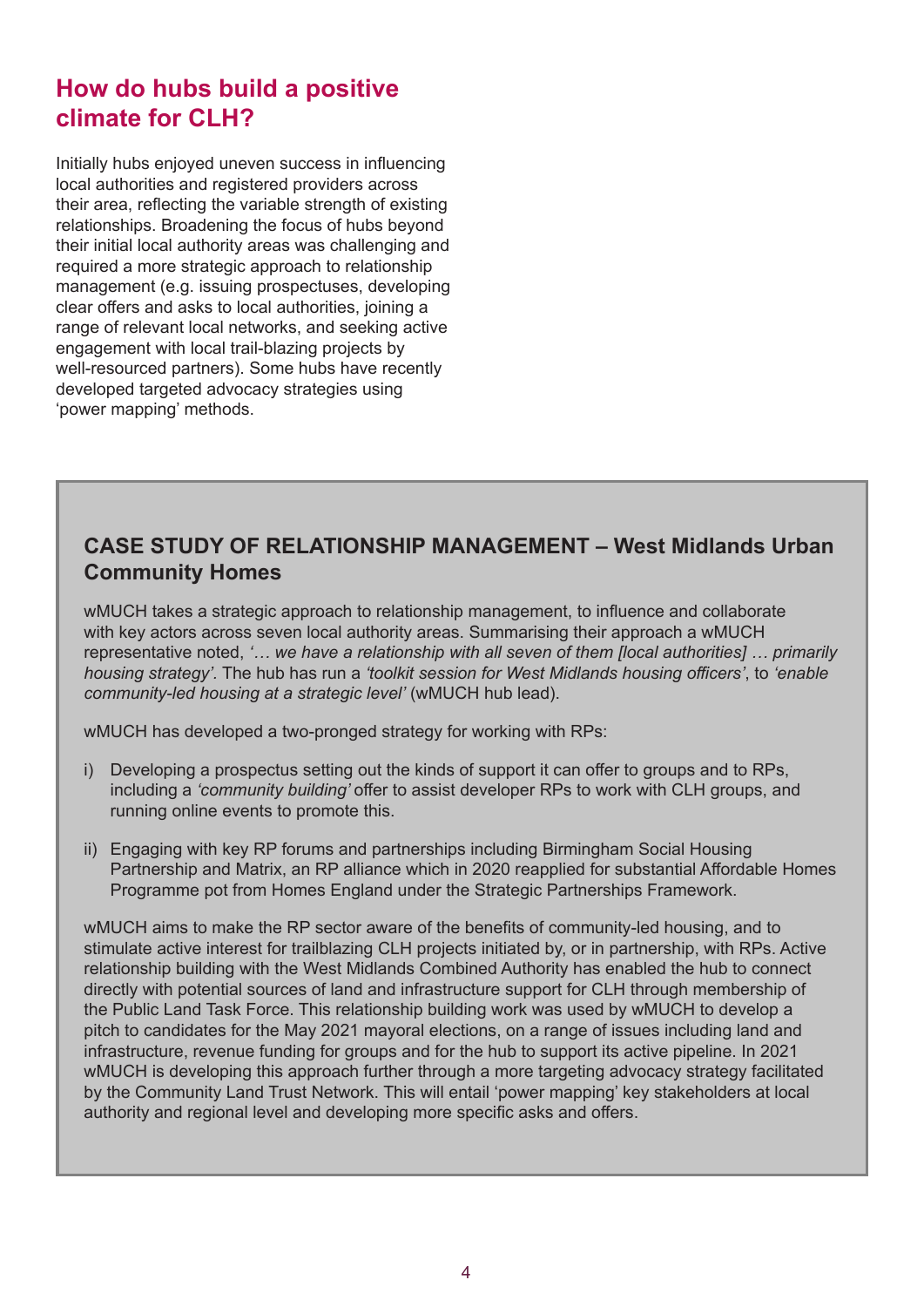#### **How do hubs build a positive climate for CLH?**

Initially hubs enjoyed uneven success in influencing local authorities and registered providers across their area, reflecting the variable strength of existing relationships. Broadening the focus of hubs beyond their initial local authority areas was challenging and required a more strategic approach to relationship management (e.g. issuing prospectuses, developing clear offers and asks to local authorities, joining a range of relevant local networks, and seeking active engagement with local trail-blazing projects by well-resourced partners). Some hubs have recently developed targeted advocacy strategies using 'power mapping' methods.

#### **CASE STUDY OF RELATIONSHIP MANAGEMENT – West Midlands Urban Community Homes**

wMUCH takes a strategic approach to relationship management, to influence and collaborate with key actors across seven local authority areas. Summarising their approach a wMUCH representative noted, *'… we have a relationship with all seven of them [local authorities] … primarily housing strategy'.* The hub has run a *'toolkit session for West Midlands housing officers'*, to *'enable community-led housing at a strategic level'* (wMUCH hub lead).

wMUCH has developed a two-pronged strategy for working with RPs:

- i) Developing a prospectus setting out the kinds of support it can offer to groups and to RPs, including a *'community building'* offer to assist developer RPs to work with CLH groups, and running online events to promote this.
- ii) Engaging with key RP forums and partnerships including Birmingham Social Housing Partnership and Matrix, an RP alliance which in 2020 reapplied for substantial Affordable Homes Programme pot from Homes England under the Strategic Partnerships Framework.

wMUCH aims to make the RP sector aware of the benefits of community-led housing, and to stimulate active interest for trailblazing CLH projects initiated by, or in partnership, with RPs. Active relationship building with the West Midlands Combined Authority has enabled the hub to connect directly with potential sources of land and infrastructure support for CLH through membership of the Public Land Task Force. This relationship building work was used by wMUCH to develop a pitch to candidates for the May 2021 mayoral elections, on a range of issues including land and infrastructure, revenue funding for groups and for the hub to support its active pipeline. In 2021 wMUCH is developing this approach further through a more targeting advocacy strategy facilitated by the Community Land Trust Network. This will entail 'power mapping' key stakeholders at local authority and regional level and developing more specific asks and offers.